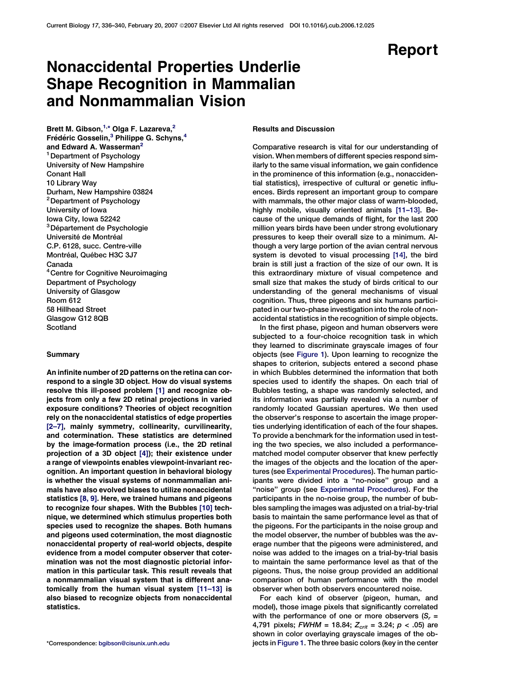# Report

# Nonaccidental Properties Underlie Shape Recognition in Mammalian and Nonmammalian Vision

Brett M. Gibson, $^{1,\star}$  Olga F. Lazareva, $^2$ Frédéric Gosselin,<sup>3</sup> Philippe G. Schyns,<sup>4</sup> and Edward A. Wasserman<sup>2</sup> <sup>1</sup> Department of Psychology University of New Hampshire Conant Hall 10 Library Way Durham, New Hampshire 03824 <sup>2</sup> Department of Psychology University of Iowa Iowa City, Iowa 52242 <sup>3</sup>Département de Psychologie Université de Montréal C.P. 6128, succ. Centre-ville Montréal, Québec H3C 3J7 Canada <sup>4</sup> Centre for Cognitive Neuroimaging Department of Psychology University of Glasgow Room 612 58 Hillhead Street Glasgow G12 8QB **Scotland** 

## **Summary**

An infinite number of 2D patterns on the retina can correspond to a single 3D object. How do visual systems resolve this ill-posed problem [\[1\]](#page-4-0) and recognize objects from only a few 2D retinal projections in varied exposure conditions? Theories of object recognition rely on the nonaccidental statistics of edge properties [\[2–7\],](#page-4-0) mainly symmetry, collinearity, curvilinearity, and cotermination. These statistics are determined by the image-formation process (i.e., the 2D retinal projection of a 3D object [\[4\]](#page-4-0)); their existence under a range of viewpoints enables viewpoint-invariant recognition. An important question in behavioral biology is whether the visual systems of nonmammalian animals have also evolved biases to utilize nonaccidental statistics [\[8, 9\].](#page-4-0) Here, we trained humans and pigeons to recognize four shapes. With the Bubbles [\[10\]](#page-4-0) technique, we determined which stimulus properties both species used to recognize the shapes. Both humans and pigeons used cotermination, the most diagnostic nonaccidental property of real-world objects, despite evidence from a model computer observer that cotermination was not the most diagnostic pictorial information in this particular task. This result reveals that a nonmammalian visual system that is different anatomically from the human visual system [\[11–13\]](#page-4-0) is also biased to recognize objects from nonaccidental statistics.

## Results and Discussion

Comparative research is vital for our understanding of vision. When members of different species respond similarly to the same visual information, we gain confidence in the prominence of this information (e.g., nonaccidential statistics), irrespective of cultural or genetic influences. Birds represent an important group to compare with mammals, the other major class of warm-blooded, highly mobile, visually oriented animals [\[11–13\]](#page-4-0). Because of the unique demands of flight, for the last 200 million years birds have been under strong evolutionary pressures to keep their overall size to a minimum. Although a very large portion of the avian central nervous system is devoted to visual processing [\[14\]](#page-4-0), the bird brain is still just a fraction of the size of our own. It is this extraordinary mixture of visual competence and small size that makes the study of birds critical to our understanding of the general mechanisms of visual cognition. Thus, three pigeons and six humans participated in our two-phase investigation into the role of nonaccidental statistics in the recognition of simple objects.

In the first phase, pigeon and human observers were subjected to a four-choice recognition task in which they learned to discriminate grayscale images of four objects (see [Figure 1\)](#page-1-0). Upon learning to recognize the shapes to criterion, subjects entered a second phase in which Bubbles determined the information that both species used to identify the shapes. On each trial of Bubbles testing, a shape was randomly selected, and its information was partially revealed via a number of randomly located Gaussian apertures. We then used the observer's response to ascertain the image properties underlying identification of each of the four shapes. To provide a benchmark for the information used in testing the two species, we also included a performancematched model computer observer that knew perfectly the images of the objects and the location of the apertures (see [Experimental Procedures](#page-3-0)). The human participants were divided into a ''no-noise'' group and a "noise" group (see [Experimental Procedures\)](#page-3-0). For the participants in the no-noise group, the number of bubbles sampling the images was adjusted on a trial-by-trial basis to maintain the same performance level as that of the pigeons. For the participants in the noise group and the model observer, the number of bubbles was the average number that the pigeons were administered, and noise was added to the images on a trial-by-trial basis to maintain the same performance level as that of the pigeons. Thus, the noise group provided an additional comparison of human performance with the model observer when both observers encountered noise.

For each kind of observer (pigeon, human, and model), those image pixels that significantly correlated with the performance of one or more observers  $(S_r =$ 4,791 pixels; FWHM = 18.84;  $Z_{crit}$  = 3.24;  $p < .05$ ) are shown in color overlaying grayscale images of the ob- \*Correspondence: [bgibson@cisunix.unh.edu](mailto:bgibson@cisunix.unh.edu) jects in [Figure 1.](#page-1-0) The three basic colors (key in the center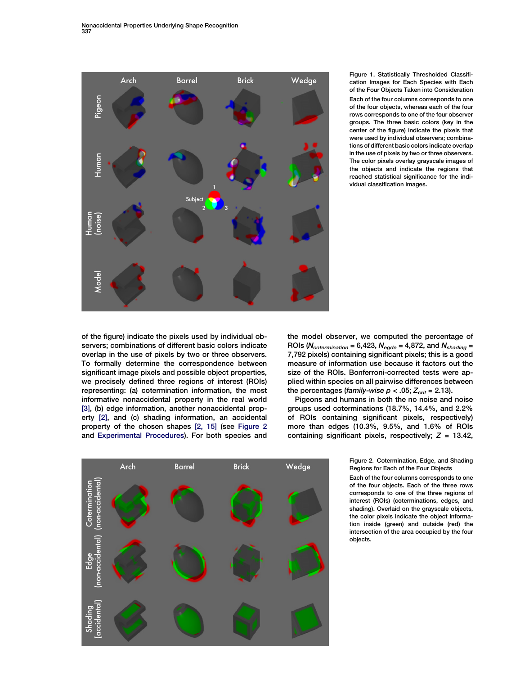<span id="page-1-0"></span>

Figure 1. Statistically Thresholded Classification Images for Each Species with Each of the Four Objects Taken into Consideration Each of the four columns corresponds to one of the four objects, whereas each of the four rows corresponds to one of the four observer groups. The three basic colors (key in the center of the figure) indicate the pixels that were used by individual observers; combinations of different basic colors indicate overlap in the use of pixels by two or three observers. The color pixels overlay grayscale images of the objects and indicate the regions that reached statistical significance for the individual classification images.

of the figure) indicate the pixels used by individual observers; combinations of different basic colors indicate overlap in the use of pixels by two or three observers. To formally determine the correspondence between significant image pixels and possible object properties, we precisely defined three regions of interest (ROIs) representing: (a) cotermination information, the most informative nonaccidental property in the real world [\[3\]](#page-4-0), (b) edge information, another nonaccidental property [\[2\]](#page-4-0), and (c) shading information, an accidental property of the chosen shapes [\[2, 15\]](#page-4-0) (see Figure 2 and [Experimental Procedures\)](#page-3-0). For both species and

the model observer, we computed the percentage of ROIs ( $N_{cotermination} = 6,423$ ,  $N_{egde} = 4,872$ , and  $N_{shading} =$ 7,792 pixels) containing significant pixels; this is a good measure of information use because it factors out the size of the ROIs. Bonferroni-corrected tests were applied within species on all pairwise differences between the percentages (family-wise  $p < .05$ ;  $Z_{crit} = 2.13$ ).

Pigeons and humans in both the no noise and noise groups used coterminations (18.7%, 14.4%, and 2.2% of ROIs containing significant pixels, respectively) more than edges (10.3%, 9.5%, and 1.6% of ROIs containing significant pixels, respectively;  $Z = 13.42$ ,

> Figure 2. Cotermination, Edge, and Shading Regions for Each of the Four Objects

> Each of the four columns corresponds to one of the four objects. Each of the three rows corresponds to one of the three regions of interest (ROIs) (coterminations, edges, and shading). Overlaid on the grayscale objects, the color pixels indicate the object information inside (green) and outside (red) the intersection of the area occupied by the four objects.

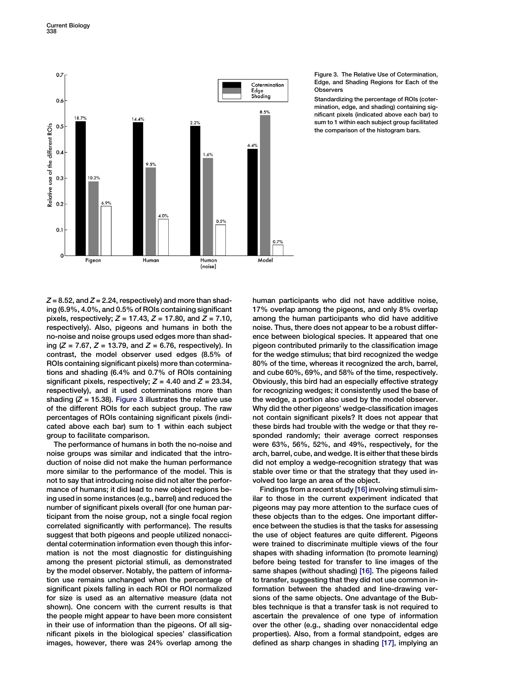

### Figure 3. The Relative Use of Cotermination, Edge, and Shading Regions for Each of the **Observers**

Standardizing the percentage of ROIs (cotermination, edge, and shading) containing significant pixels (indicated above each bar) to sum to 1 within each subject group facilitated the comparison of the histogram bars.

 $Z = 8.52$ , and  $Z = 2.24$ , respectively) and more than shading (6.9%, 4.0%, and 0.5% of ROIs containing significant pixels, respectively;  $Z = 17.43$ ,  $Z = 17.80$ , and  $Z = 7.10$ , respectively). Also, pigeons and humans in both the no-noise and noise groups used edges more than shading ( $Z = 7.67$ ,  $Z = 13.79$ , and  $Z = 6.76$ , respectively). In contrast, the model observer used edges (8.5% of ROIs containing significant pixels) more than coterminations and shading (6.4% and 0.7% of ROIs containing significant pixels, respectively;  $Z = 4.40$  and  $Z = 23.34$ , respectively), and it used coterminations more than shading  $(Z = 15.38)$ . Figure 3 illustrates the relative use of the different ROIs for each subject group. The raw percentages of ROIs containing significant pixels (indicated above each bar) sum to 1 within each subject group to facilitate comparison.

The performance of humans in both the no-noise and noise groups was similar and indicated that the introduction of noise did not make the human performance more similar to the performance of the model. This is not to say that introducing noise did not alter the performance of humans; it did lead to new object regions being used in some instances (e.g., barrel) and reduced the number of significant pixels overall (for one human participant from the noise group, not a single focal region correlated significantly with performance). The results suggest that both pigeons and people utilized nonaccidental cotermination information even though this information is not the most diagnostic for distinguishing among the present pictorial stimuli, as demonstrated by the model observer. Notably, the pattern of information use remains unchanged when the percentage of significant pixels falling in each ROI or ROI normalized for size is used as an alternative measure (data not shown). One concern with the current results is that the people might appear to have been more consistent in their use of information than the pigeons. Of all significant pixels in the biological species' classification images, however, there was 24% overlap among the

human participants who did not have additive noise, 17% overlap among the pigeons, and only 8% overlap among the human participants who did have additive noise. Thus, there does not appear to be a robust difference between biological species. It appeared that one pigeon contributed primarily to the classification image for the wedge stimulus; that bird recognized the wedge 80% of the time, whereas it recognized the arch, barrel, and cube 60%, 69%, and 58% of the time, respectively. Obviously, this bird had an especially effective strategy for recognizing wedges; it consistently used the base of the wedge, a portion also used by the model observer. Why did the other pigeons' wedge-classification images not contain significant pixels? It does not appear that these birds had trouble with the wedge or that they responded randomly; their average correct responses were 63%, 56%, 52%, and 49%, respectively, for the arch, barrel, cube, and wedge. It is either that these birds did not employ a wedge-recognition strategy that was stable over time or that the strategy that they used involved too large an area of the object.

Findings from a recent study [\[16\]](#page-4-0) involving stimuli similar to those in the current experiment indicated that pigeons may pay more attention to the surface cues of these objects than to the edges. One important difference between the studies is that the tasks for assessing the use of object features are quite different. Pigeons were trained to discriminate multiple views of the four shapes with shading information (to promote learning) before being tested for transfer to line images of the same shapes (without shading) [\[16\]](#page-4-0). The pigeons failed to transfer, suggesting that they did not use common information between the shaded and line-drawing versions of the same objects. One advantage of the Bubbles technique is that a transfer task is not required to ascertain the prevalence of one type of information over the other (e.g., shading over nonaccidental edge properties). Also, from a formal standpoint, edges are defined as sharp changes in shading [\[17\]](#page-4-0), implying an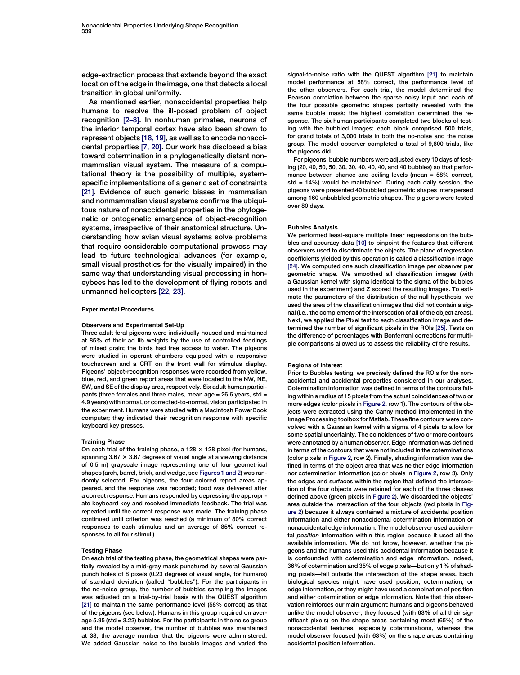<span id="page-3-0"></span>edge-extraction process that extends beyond the exact location of the edge in the image, one that detects a local transition in global uniformity.

As mentioned earlier, nonaccidental properties help humans to resolve the ill-posed problem of object recognition [\[2–8\].](#page-4-0) In nonhuman primates, neurons of the inferior temporal cortex have also been shown to represent objects [\[18, 19\]](#page-4-0), as well as to encode nonaccidental properties [\[7, 20\]](#page-4-0). Our work has disclosed a bias toward cotermination in a phylogenetically distant nonmammalian visual system. The measure of a computational theory is the possibility of multiple, systemspecific implementations of a generic set of constraints [\[21\].](#page-4-0) Evidence of such generic biases in mammalian and nonmammalian visual systems confirms the ubiquitous nature of nonaccidental properties in the phylogenetic or ontogenetic emergence of object-recognition systems, irrespective of their anatomical structure. Understanding how avian visual systems solve problems that require considerable computational prowess may lead to future technological advances (for example, small visual prosthetics for the visually impaired) in the same way that understanding visual processing in honeybees has led to the development of flying robots and unmanned helicopters [\[22, 23\].](#page-4-0)

#### Experimental Procedures

### Observers and Experimental Set-Up

Three adult feral pigeons were individually housed and maintained at 85% of their ad lib weights by the use of controlled feedings of mixed grain; the birds had free access to water. The pigeons were studied in operant chambers equipped with a responsive touchscreen and a CRT on the front wall for stimulus display. Pigeons' object-recognition responses were recorded from yellow, blue, red, and green report areas that were located to the NW, NE, SW, and SE of the display area, respectively. Six adult human participants (three females and three males, mean age = 26.6 years, std = 4.9 years) with normal, or corrected-to-normal, vision participated in the experiment. Humans were studied with a Macintosh PowerBook computer; they indicated their recognition response with specific keyboard key presses.

### Training Phase

On each trial of the training phase, a 128  $\times$  128 pixel (for humans, spanning  $3.67 \times 3.67$  degrees of visual angle at a viewing distance of 0.5 m) grayscale image representing one of four geometrical shapes (arch, barrel, brick, and wedge, see [Figures 1 and 2](#page-1-0)) was randomly selected. For pigeons, the four colored report areas appeared, and the response was recorded; food was delivered after a correct response. Humans responded by depressing the appropriate keyboard key and received immediate feedback. The trial was repeated until the correct response was made. The training phase continued until criterion was reached (a minimum of 80% correct responses to each stimulus and an average of 85% correct responses to all four stimuli).

### Testing Phase

On each trial of the testing phase, the geometrical shapes were partially revealed by a mid-gray mask punctured by several Gaussian punch holes of 8 pixels (0.23 degrees of visual angle, for humans) of standard deviation (called ''bubbles''). For the participants in the no-noise group, the number of bubbles sampling the images was adjusted on a trial-by-trial basis with the QUEST algorithm [\[21\]](#page-4-0) to maintain the same performance level (58% correct) as that of the pigeons (see below). Humans in this group required on average 5.95 (std = 3.23) bubbles. For the participants in the noise group and the model observer, the number of bubbles was maintained at 38, the average number that the pigeons were administered. We added Gaussian noise to the bubble images and varied the

signal-to-noise ratio with the QUEST algorithm [\[21\]](#page-4-0) to maintain model performance at 58% correct, the performance level of the other observers. For each trial, the model determined the Pearson correlation between the sparse noisy input and each of the four possible geometric shapes partially revealed with the same bubble mask; the highest correlation determined the response. The six human participants completed two blocks of testing with the bubbled images; each block comprised 500 trials, for grand totals of 3,000 trials in both the no-noise and the noise group. The model observer completed a total of 9,600 trials, like the pigeons did.

For pigeons, bubble numbers were adjusted every 10 days of testing (20, 40, 50, 50, 30, 30, 40, 40, 40, and 40 bubbles) so that performance between chance and ceiling levels (mean = 58% correct, std = 14%) would be maintained. During each daily session, the pigeons were presented 40 bubbled geometric shapes interspersed among 160 unbubbled geometric shapes. The pigeons were tested over 80 days.

#### Bubbles Analysis

We performed least-square multiple linear regressions on the bubbles and accuracy data [\[10\]](#page-4-0) to pinpoint the features that different observers used to discriminate the objects. The plane of regression coefficients yielded by this operation is called a classification image [\[24\].](#page-4-0) We computed one such classification image per observer per geometric shape. We smoothed all classification images (with a Gaussian kernel with sigma identical to the sigma of the bubbles used in the experiment) and Z scored the resulting images. To estimate the parameters of the distribution of the null hypothesis, we used the area of the classification images that did not contain a signal (i.e., the complement of the intersection of all of the object areas). Next, we applied the Pixel test to each classification image and determined the number of significant pixels in the ROIs [\[25\]](#page-4-0). Tests on the difference of percentages with Bonferroni corrections for multiple comparisons allowed us to assess the reliability of the results.

#### Regions of Interest

Prior to Bubbles testing, we precisely defined the ROIs for the nonaccidental and accidental properties considered in our analyses. Cotermination information was defined in terms of the contours falling within a radius of 15 pixels from the actual coincidences of two or more edges (color pixels in [Figure 2](#page-1-0), row 1). The contours of the objects were extracted using the Canny method implemented in the Image Processing toolbox for Matlab. These fine contours were convolved with a Gaussian kernel with a sigma of 4 pixels to allow for some spatial uncertainty. The coincidences of two or more contours were annotated by a human observer. Edge information was defined in terms of the contours that were not included in the coterminations (color pixels in [Figure 2](#page-1-0), row 2). Finally, shading information was defined in terms of the object area that was neither edge information nor cotermination information (color pixels in [Figure 2](#page-1-0), row 3). Only the edges and surfaces within the region that defined the intersection of the four objects were retained for each of the three classes defined above (green pixels in [Figure 2\)](#page-1-0). We discarded the objects' area outside the intersection of the four objects (red pixels in [Fig](#page-1-0)[ure 2\)](#page-1-0) because it always contained a mixture of accidental position information and either nonaccidental cotermination information or nonaccidental edge information. The model observer used accidental position information within this region because it used all the available information. We do not know, however, whether the pigeons and the humans used this accidental information because it is confounded with cotermination and edge information. Indeed, 36% of cotermination and 35% of edge pixels—but only 1% of shading pixels—fall outside the intersection of the shape areas. Each biological species might have used position, cotermination, or edge information, or they might have used a combination of position and either cotermination or edge information. Note that this observation reinforces our main argument: humans and pigeons behaved unlike the model observer; they focused (with 63% of all their significant pixels) on the shape areas containing most (65%) of the nonaccidental features, especially coterminations, whereas the model observer focused (with 63%) on the shape areas containing accidental position information.